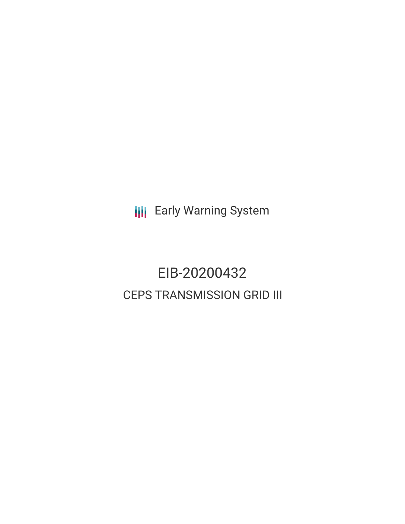**III** Early Warning System

# EIB-20200432 CEPS TRANSMISSION GRID III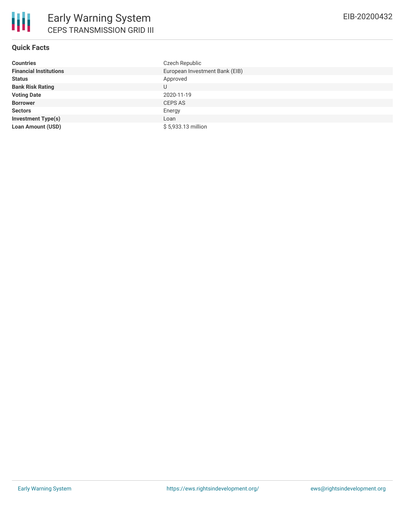# **Quick Facts**

| <b>Countries</b>              | Czech Republic                 |
|-------------------------------|--------------------------------|
| <b>Financial Institutions</b> | European Investment Bank (EIB) |
| <b>Status</b>                 | Approved                       |
| <b>Bank Risk Rating</b>       | U                              |
| <b>Voting Date</b>            | 2020-11-19                     |
| <b>Borrower</b>               | <b>CEPS AS</b>                 |
| <b>Sectors</b>                | Energy                         |
| <b>Investment Type(s)</b>     | Loan                           |
| <b>Loan Amount (USD)</b>      | \$5,933.13 million             |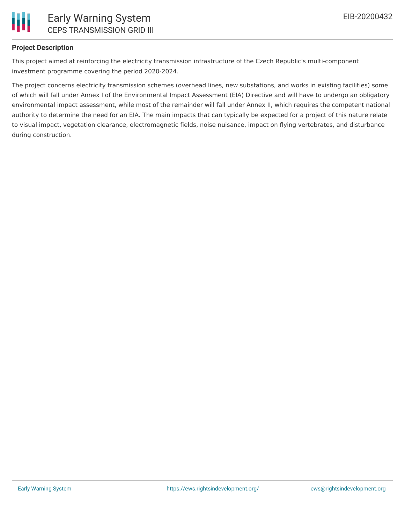

## **Project Description**

This project aimed at reinforcing the electricity transmission infrastructure of the Czech Republic's multi-component investment programme covering the period 2020-2024.

The project concerns electricity transmission schemes (overhead lines, new substations, and works in existing facilities) some of which will fall under Annex I of the Environmental Impact Assessment (EIA) Directive and will have to undergo an obligatory environmental impact assessment, while most of the remainder will fall under Annex II, which requires the competent national authority to determine the need for an EIA. The main impacts that can typically be expected for a project of this nature relate to visual impact, vegetation clearance, electromagnetic fields, noise nuisance, impact on flying vertebrates, and disturbance during construction.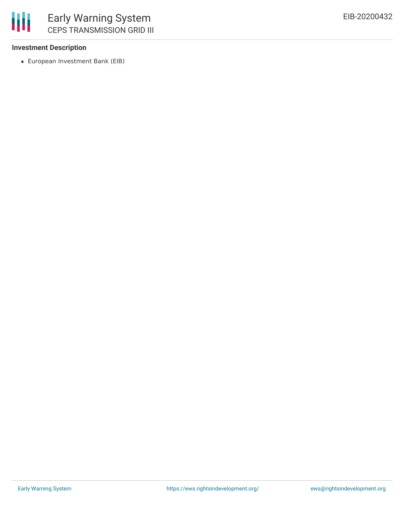

## **Investment Description**

European Investment Bank (EIB)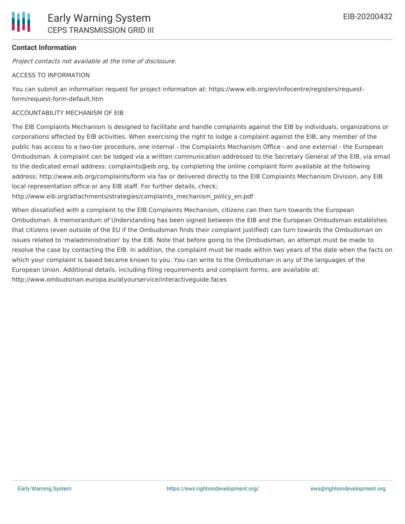# **Contact Information**

Project contacts not available at the time of disclosure.

#### ACCESS TO INFORMATION

You can submit an information request for project information at: https://www.eib.org/en/infocentre/registers/requestform/request-form-default.htm

#### ACCOUNTABILITY MECHANISM OF EIB

The EIB Complaints Mechanism is designed to facilitate and handle complaints against the EIB by individuals, organizations or corporations affected by EIB activities. When exercising the right to lodge a complaint against the EIB, any member of the public has access to a two-tier procedure, one internal - the Complaints Mechanism Office - and one external - the European Ombudsman. A complaint can be lodged via a written communication addressed to the Secretary General of the EIB, via email to the dedicated email address: complaints@eib.org, by completing the online complaint form available at the following address: http://www.eib.org/complaints/form via fax or delivered directly to the EIB Complaints Mechanism Division, any EIB local representation office or any EIB staff. For further details, check:

http://www.eib.org/attachments/strategies/complaints\_mechanism\_policy\_en.pdf

When dissatisfied with a complaint to the EIB Complaints Mechanism, citizens can then turn towards the European Ombudsman. A memorandum of Understanding has been signed between the EIB and the European Ombudsman establishes that citizens (even outside of the EU if the Ombudsman finds their complaint justified) can turn towards the Ombudsman on issues related to 'maladministration' by the EIB. Note that before going to the Ombudsman, an attempt must be made to resolve the case by contacting the EIB. In addition, the complaint must be made within two years of the date when the facts on which your complaint is based became known to you. You can write to the Ombudsman in any of the languages of the European Union. Additional details, including filing requirements and complaint forms, are available at: http://www.ombudsman.europa.eu/atyourservice/interactiveguide.faces